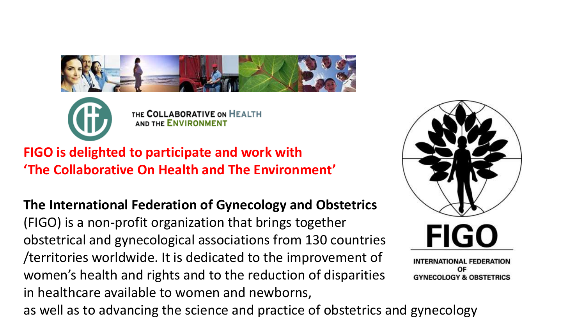



THE COLLABORATIVE ON HEALTH **AND THE ENVIRONMENT** 

**FIGO is delighted to participate and work with 'The Collaborative On Health and The Environment'**

**The International Federation of Gynecology and Obstetrics** (FIGO) is a non-profit organization that brings together obstetrical and gynecological associations from 130 countries /territories worldwide. It is dedicated to the improvement of women's health and rights and to the reduction of disparities in healthcare available to women and newborns, as well as to advancing the science and practice of obstetrics and gynecology



**INTERNATIONAL FEDERATION** OF **GYNECOLOGY & OBSTETRICS**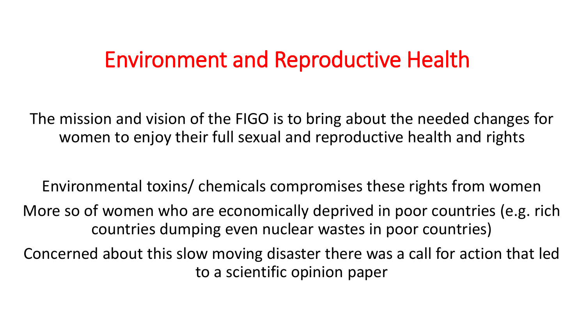### Environment and Reproductive Health

The mission and vision of the FIGO is to bring about the needed changes for women to enjoy their full sexual and reproductive health and rights

Environmental toxins/ chemicals compromises these rights from women

More so of women who are economically deprived in poor countries (e.g. rich countries dumping even nuclear wastes in poor countries)

Concerned about this slow moving disaster there was a call for action that led to a scientific opinion paper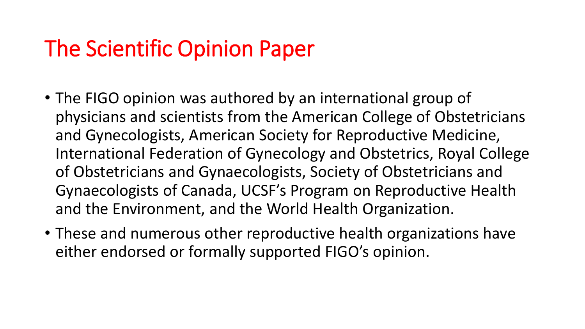## The Scientific Opinion Paper

- The FIGO opinion was authored by an international group of physicians and scientists from the American College of Obstetricians and Gynecologists, American Society for Reproductive Medicine, International Federation of Gynecology and Obstetrics, Royal College of Obstetricians and Gynaecologists, Society of Obstetricians and Gynaecologists of Canada, UCSF's Program on Reproductive Health and the Environment, and the World Health Organization.
- These and numerous other reproductive health organizations have either endorsed or formally supported FIGO's opinion.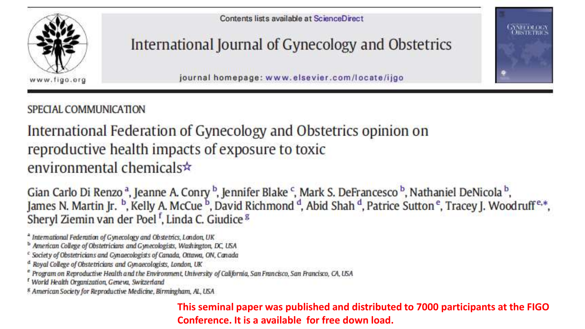

Contents lists available at ScienceDirect

#### International Journal of Gynecology and Obstetrics

journal homepage: www.elsevier.com/locate/ijgo

SPECIAL COMMUNICATION

#### International Federation of Gynecology and Obstetrics opinion on reproductive health impacts of exposure to toxic environmental chemicals  $\star$

Gian Carlo Di Renzo<sup>a</sup>, Jeanne A. Conry<sup>b</sup>, Jennifer Blake<sup>c</sup>, Mark S. DeFrancesco<sup>b</sup>, Nathaniel DeNicola<sup>b</sup>, James N. Martin Jr.<sup>b</sup>, Kelly A. McCue<sup>b</sup>, David Richmond<sup>d</sup>, Abid Shah<sup>d</sup>, Patrice Sutton<sup>e</sup>, Tracey J. Woodruf Sheryl Ziemin van der Poel<sup>f</sup>, Linda C. Giudice<sup>g</sup>

<sup>4</sup> International Federation of Gynecology and Obstetrics, London, UK

<sup>b</sup> American College of Obstetricians and Gynecologists, Washington, DC, USA

- <sup>c</sup> Society of Obstetricians and Gynaecologists of Canada, Ottawa, ON, Canada
- <sup>a</sup> Royal College of Obstetricians and Gynaecologists, London, UK

<sup>e</sup> Program on Reproductive Health and the Environment, University of California, San Francisco, San Francisco, CA, USA

<sup>f</sup> World Health Organization, Geneva, Switzerland

<sup>8</sup> American Society for Reproductive Medicine, Birmingham, AL, USA

**This seminal paper was published and distributed to 7000 participants at the FIGO Conference. It is a available for free down load.**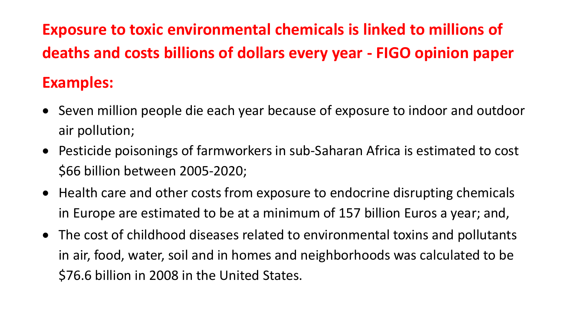**Exposure to toxic environmental chemicals is linked to millions of deaths and costs billions of dollars every year - FIGO opinion paper Examples:** 

- Seven million people die each year because of exposure to indoor and outdoor air pollution;
- Pesticide poisonings of farmworkers in sub-Saharan Africa is estimated to cost \$66 billion between 2005-2020;
- Health care and other costs from exposure to endocrine disrupting chemicals in Europe are estimated to be at a minimum of 157 billion Euros a year; and,
- The cost of childhood diseases related to environmental toxins and pollutants in air, food, water, soil and in homes and neighborhoods was calculated to be \$76.6 billion in 2008 in the United States.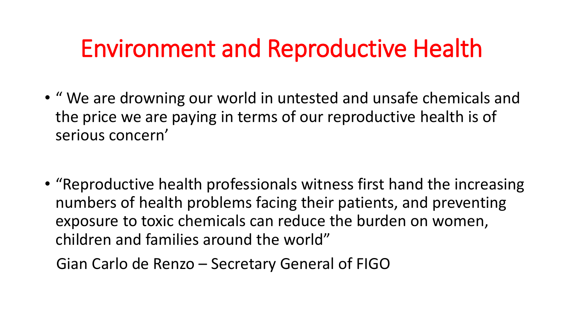# Environment and Reproductive Health

- " We are drowning our world in untested and unsafe chemicals and the price we are paying in terms of our reproductive health is of serious concern'
- "Reproductive health professionals witness first hand the increasing numbers of health problems facing their patients, and preventing exposure to toxic chemicals can reduce the burden on women, children and families around the world"

Gian Carlo de Renzo – Secretary General of FIGO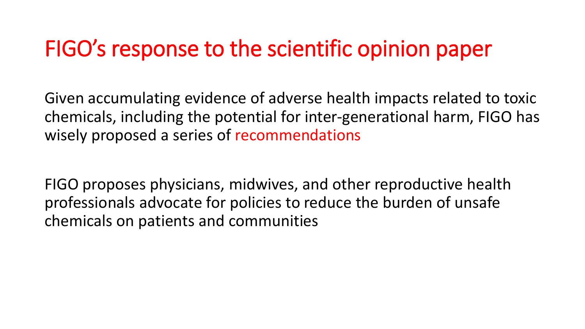## FIGO's response to the scientific opinion paper

Given accumulating evidence of adverse health impacts related to toxic chemicals, including the potential for inter-generational harm, FIGO has wisely proposed a series of recommendations

FIGO proposes physicians, midwives, and other reproductive health professionals advocate for policies to reduce the burden of unsafe chemicals on patients and communities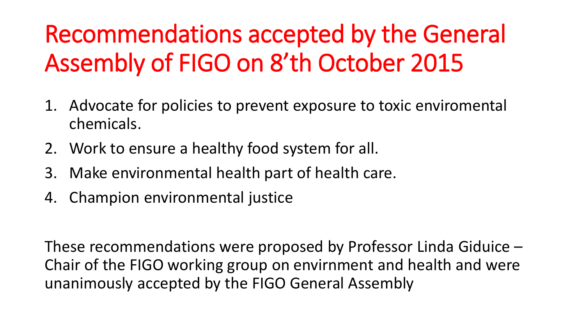# Recommendations accepted by the General Assembly of FIGO on 8'th October 2015

- 1. Advocate for policies to prevent exposure to toxic enviromental chemicals.
- 2. Work to ensure a healthy food system for all.
- 3. Make environmental health part of health care.
- 4. Champion environmental justice

These recommendations were proposed by Professor Linda Giduice – Chair of the FIGO working group on envirnment and health and were unanimously accepted by the FIGO General Assembly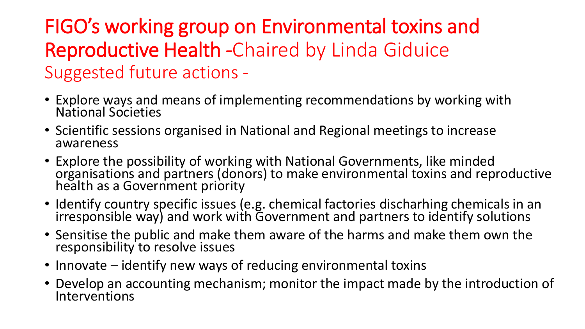### FIGO's working group on Environmental toxins and Reproductive Health -Chaired by Linda Giduice Suggested future actions -

- Explore ways and means of implementing recommendations by working with National Societies
- Scientific sessions organised in National and Regional meetings to increase awareness
- Explore the possibility of working with National Governments, like minded organisations and partners (donors) to make environmental toxins and reproductive health as a Government priority
- Identify country specific issues (e.g. chemical factories discharhing chemicals in an irresponsible way) and work with Government and partners to identify solutions
- Sensitise the public and make them aware of the harms and make them own the responsibility to resolve issues
- Innovate identify new ways of reducing environmental toxins
- Develop an accounting mechanism; monitor the impact made by the introduction of Interventions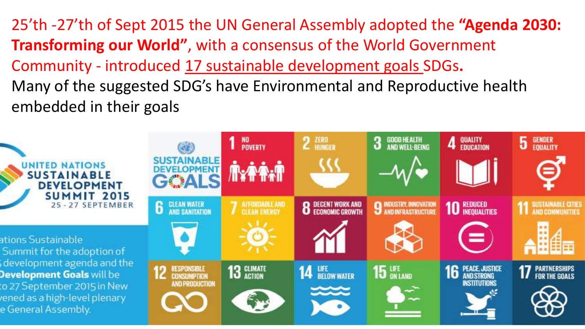25'th -27'th of Sept 2015 the UN General Assembly adopted the **"Agenda 2030: Transforming our World"**, with a consensus of the World Government Community - introduced 17 sustainable development goals SDGs**.** Many of the suggested SDG's have Environmental and Reproductive health embedded in their goals